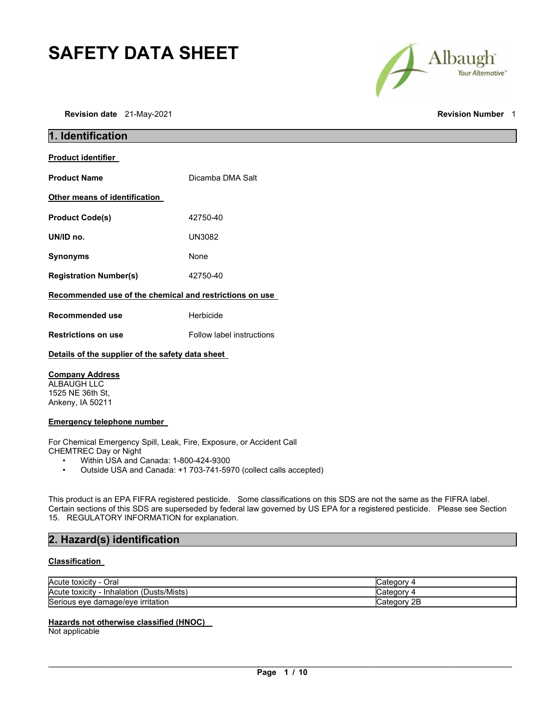# **SAFETY DATA SHEET**

Albaugh Your Alternative"

**Revision date** 21-May-2021 **Revision Number** 1

| <b>Revision Number</b> |  |
|------------------------|--|
|------------------------|--|

| 1. Identification                                       |                           |  |
|---------------------------------------------------------|---------------------------|--|
| <b>Product identifier</b>                               |                           |  |
| <b>Product Name</b>                                     | Dicamba DMA Salt          |  |
| Other means of identification                           |                           |  |
| <b>Product Code(s)</b>                                  | 42750-40                  |  |
| UN/ID no.                                               | UN3082                    |  |
| <b>Synonyms</b>                                         | None                      |  |
| <b>Registration Number(s)</b>                           | 42750-40                  |  |
| Recommended use of the chemical and restrictions on use |                           |  |
| <b>Recommended use</b>                                  | Herbicide                 |  |
| <b>Restrictions on use</b>                              | Follow label instructions |  |
| Details of the supplier of the safety data sheet        |                           |  |

## **Company Address**

ALBAUGH LLC 1525 NE 36th St, Ankeny, IA 50211

## **Emergency telephone number**

For Chemical Emergency Spill, Leak, Fire, Exposure, or Accident Call CHEMTREC Day or Night

- Within USA and Canada: 1-800-424-9300
- Outside USA and Canada: +1 703-741-5970 (collect calls accepted)

This product is an EPA FIFRA registered pesticide. Some classifications on this SDS are not the same as the FIFRA label. Certain sections of this SDS are superseded by federal law governed by US EPA for a registered pesticide. Please see Section 15. REGULATORY INFORMATION for explanation.

## **2. Hazard(s) identification**

## **Classification**

| Acute toxicity<br>Oral                        |                |
|-----------------------------------------------|----------------|
| Acute toxicity<br>(Dusts/Mists)<br>Inhalation |                |
| Serious eye damage/eye irritation             | ategorٽ<br>ZD. |

## **Hazards not otherwise classified (HNOC)**

Not applicable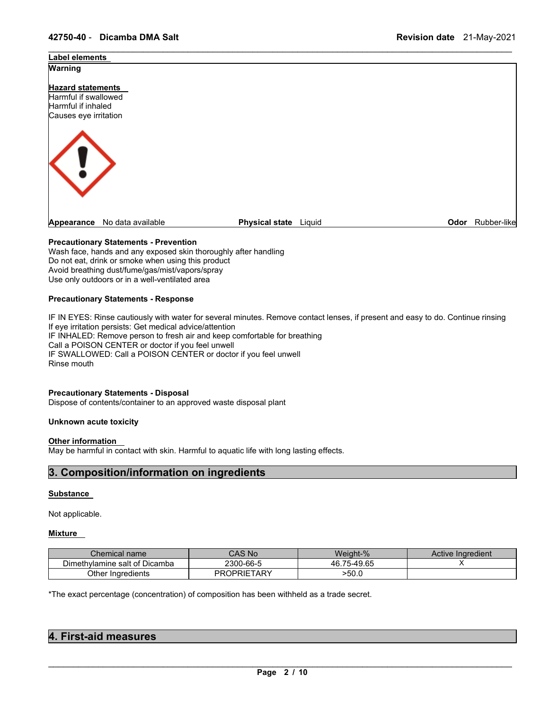

\_\_\_\_\_\_\_\_\_\_\_\_\_\_\_\_\_\_\_\_\_\_\_\_\_\_\_\_\_\_\_\_\_\_\_\_\_\_\_\_\_\_\_\_\_\_\_\_\_\_\_\_\_\_\_\_\_\_\_\_\_\_\_\_\_\_\_\_\_\_\_\_\_\_\_\_\_\_\_\_\_\_\_\_\_\_\_\_\_\_\_\_\_

## **Precautionary Statements - Prevention**

Wash face, hands and any exposed skin thoroughly after handling Do not eat, drink or smoke when using this product Avoid breathing dust/fume/gas/mist/vapors/spray Use only outdoors or in a well-ventilated area

## **Precautionary Statements - Response**

IF IN EYES: Rinse cautiously with water for several minutes. Remove contact lenses, if present and easy to do. Continue rinsing If eye irritation persists: Get medical advice/attention IF INHALED: Remove person to fresh air and keep comfortable for breathing Call a POISON CENTER or doctor if you feel unwell IF SWALLOWED: Call a POISON CENTER or doctor if you feel unwell Rinse mouth

## **Precautionary Statements - Disposal**

Dispose of contents/container to an approved waste disposal plant

#### **Unknown acute toxicity**

#### **Other information**

May be harmful in contact with skin. Harmful to aquatic life with long lasting effects.

## **3. Composition/information on ingredients**

## **Substance**

Not applicable.

#### **Mixture**

| <i>C</i> hemical name⊘        | CAS No                  | Weight-%        | Active Ingredient |
|-------------------------------|-------------------------|-----------------|-------------------|
| Dimethylamine salt of Dicamba | 2300-66-5               | .65<br>46.75-49 |                   |
| Other Ingredients             | <b>OPRIETARY</b><br>PR( | >50.0           |                   |

\*The exact percentage (concentration) of composition has been withheld as a trade secret.

| 4. First-aid measures |  |
|-----------------------|--|
|                       |  |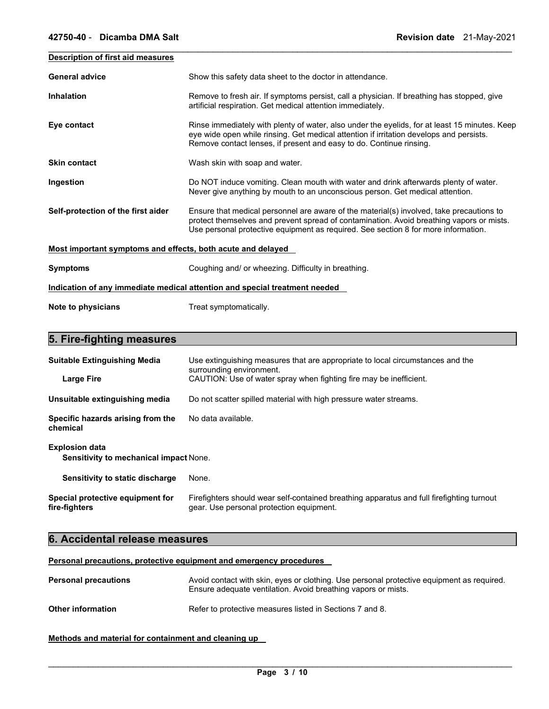| Description of first aid measures                           |                                                                                                                                                                                                                                                                            |
|-------------------------------------------------------------|----------------------------------------------------------------------------------------------------------------------------------------------------------------------------------------------------------------------------------------------------------------------------|
| <b>General advice</b>                                       | Show this safety data sheet to the doctor in attendance.                                                                                                                                                                                                                   |
| <b>Inhalation</b>                                           | Remove to fresh air. If symptoms persist, call a physician. If breathing has stopped, give<br>artificial respiration. Get medical attention immediately.                                                                                                                   |
| Eye contact                                                 | Rinse immediately with plenty of water, also under the eyelids, for at least 15 minutes. Keep<br>eye wide open while rinsing. Get medical attention if irritation develops and persists.<br>Remove contact lenses, if present and easy to do. Continue rinsing.            |
| <b>Skin contact</b>                                         | Wash skin with soap and water.                                                                                                                                                                                                                                             |
| Ingestion                                                   | Do NOT induce vomiting. Clean mouth with water and drink afterwards plenty of water.<br>Never give anything by mouth to an unconscious person. Get medical attention.                                                                                                      |
| Self-protection of the first aider                          | Ensure that medical personnel are aware of the material(s) involved, take precautions to<br>protect themselves and prevent spread of contamination. Avoid breathing vapors or mists.<br>Use personal protective equipment as required. See section 8 for more information. |
| Most important symptoms and effects, both acute and delayed |                                                                                                                                                                                                                                                                            |
| <b>Symptoms</b>                                             | Coughing and/ or wheezing. Difficulty in breathing.                                                                                                                                                                                                                        |
|                                                             | Indication of any immediate medical attention and special treatment needed                                                                                                                                                                                                 |
| Note to physicians                                          | Treat symptomatically.                                                                                                                                                                                                                                                     |

\_\_\_\_\_\_\_\_\_\_\_\_\_\_\_\_\_\_\_\_\_\_\_\_\_\_\_\_\_\_\_\_\_\_\_\_\_\_\_\_\_\_\_\_\_\_\_\_\_\_\_\_\_\_\_\_\_\_\_\_\_\_\_\_\_\_\_\_\_\_\_\_\_\_\_\_\_\_\_\_\_\_\_\_\_\_\_\_\_\_\_\_\_

## **5. Fire-fighting measures**

| <b>Suitable Extinguishing Media</b><br><b>Large Fire</b>               | Use extinguishing measures that are appropriate to local circumstances and the<br>surrounding environment.<br>CAUTION: Use of water spray when fighting fire may be inefficient. |  |
|------------------------------------------------------------------------|----------------------------------------------------------------------------------------------------------------------------------------------------------------------------------|--|
| Unsuitable extinguishing media                                         | Do not scatter spilled material with high pressure water streams.                                                                                                                |  |
| Specific hazards arising from the<br>No data available.<br>chemical    |                                                                                                                                                                                  |  |
| <b>Explosion data</b><br><b>Sensitivity to mechanical impact None.</b> |                                                                                                                                                                                  |  |
| Sensitivity to static discharge                                        | None.                                                                                                                                                                            |  |
| Special protective equipment for<br>fire-fighters                      | Firefighters should wear self-contained breathing apparatus and full firefighting turnout<br>gear. Use personal protection equipment.                                            |  |

## **6. Accidental release measures**

**Personal precautions, protective equipment and emergency procedures** 

| <b>Personal precautions</b> | Avoid contact with skin, eyes or clothing. Use personal protective equipment as required.<br>Ensure adequate ventilation. Avoid breathing vapors or mists. |
|-----------------------------|------------------------------------------------------------------------------------------------------------------------------------------------------------|
| <b>Other information</b>    | Refer to protective measures listed in Sections 7 and 8.                                                                                                   |

## **Methods and material for containment and cleaning up**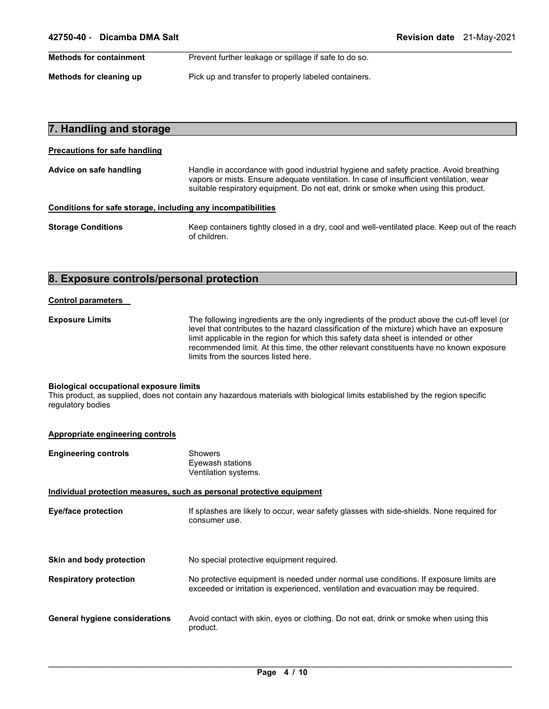| <b>Methods for containment</b> | Prevent further leakage or spillage if safe to do so. |
|--------------------------------|-------------------------------------------------------|
|                                |                                                       |
| Methods for cleaning up        | Pick up and transfer to properly labeled containers.  |

| 7. Handling and storage              |                                                                                                                                                                                                                                                                          |
|--------------------------------------|--------------------------------------------------------------------------------------------------------------------------------------------------------------------------------------------------------------------------------------------------------------------------|
| <b>Precautions for safe handling</b> |                                                                                                                                                                                                                                                                          |
| Advice on safe handling              | Handle in accordance with good industrial hygiene and safety practice. Avoid breathing<br>vapors or mists. Ensure adequate ventilation. In case of insufficient ventilation, wear<br>suitable respiratory equipment. Do not eat, drink or smoke when using this product. |
|                                      | Conditions for safe storage, including any incompatibilities                                                                                                                                                                                                             |
| <b>Storage Conditions</b>            | Keep containers tightly closed in a dry, cool and well-ventilated place. Keep out of the reach<br>of children.                                                                                                                                                           |

## **8. Exposure controls/personal protection**

#### **Control parameters**

**Exposure Limits** The following ingredients are the only ingredients of the product above the cut-off level (or level that contributes to the hazard classification of the mixture) which have an exposure limit applicable in the region for which this safety data sheet is intended or other recommended limit. At this time, the other relevant constituents have no known exposure limits from the sources listed here.

#### **Biological occupational exposure limits**

This product, as supplied, does not contain any hazardous materials with biological limits established by the region specific regulatory bodies

| Appropriate engineering controls      |                                                                                                                                                                             |
|---------------------------------------|-----------------------------------------------------------------------------------------------------------------------------------------------------------------------------|
| <b>Engineering controls</b>           | <b>Showers</b><br>Eyewash stations<br>Ventilation systems.                                                                                                                  |
|                                       | Individual protection measures, such as personal protective equipment                                                                                                       |
| <b>Eye/face protection</b>            | If splashes are likely to occur, wear safety glasses with side-shields. None required for<br>consumer use.                                                                  |
| Skin and body protection              | No special protective equipment required.                                                                                                                                   |
| <b>Respiratory protection</b>         | No protective equipment is needed under normal use conditions. If exposure limits are<br>exceeded or irritation is experienced, ventilation and evacuation may be required. |
| <b>General hygiene considerations</b> | Avoid contact with skin, eyes or clothing. Do not eat, drink or smoke when using this<br>product.                                                                           |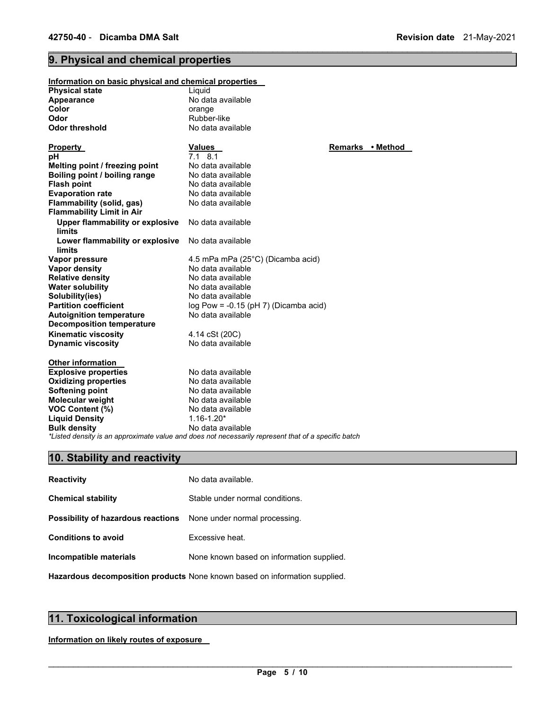## **9. Physical and chemical properties**

| Information on basic physical and chemical properties         |                                                                                                     |                  |  |
|---------------------------------------------------------------|-----------------------------------------------------------------------------------------------------|------------------|--|
| Physical state                                                | Liguid                                                                                              |                  |  |
| <b>Appearance</b>                                             | No data available                                                                                   |                  |  |
| Color                                                         | orange                                                                                              |                  |  |
| Odor                                                          | Rubber-like                                                                                         |                  |  |
| Odor threshold                                                | No data available                                                                                   |                  |  |
| <u>Property_</u>                                              | <b>Values</b>                                                                                       | Remarks • Method |  |
| рH                                                            | $7.1$ 8.1                                                                                           |                  |  |
| Melting point / freezing point                                | No data available                                                                                   |                  |  |
| Boiling point / boiling range                                 | No data available                                                                                   |                  |  |
| <b>Flash point</b>                                            | No data available                                                                                   |                  |  |
| <b>Evaporation rate</b>                                       | No data available                                                                                   |                  |  |
| Flammability (solid, gas)<br><b>Flammability Limit in Air</b> | No data available                                                                                   |                  |  |
| Upper flammability or explosive<br>limits                     | No data available                                                                                   |                  |  |
| Lower flammability or explosive<br>limits                     | No data available                                                                                   |                  |  |
| Vapor pressure                                                | 4.5 mPa mPa (25°C) (Dicamba acid)                                                                   |                  |  |
| Vapor density                                                 | No data available                                                                                   |                  |  |
| <b>Relative density</b>                                       | No data available                                                                                   |                  |  |
| <b>Water solubility</b>                                       | No data available                                                                                   |                  |  |
| Solubility(ies)                                               | No data available                                                                                   |                  |  |
| <b>Partition coefficient</b>                                  | $log Pow = -0.15$ (pH 7) (Dicamba acid)                                                             |                  |  |
| <b>Autoignition temperature</b>                               | No data available                                                                                   |                  |  |
| <b>Decomposition temperature</b>                              |                                                                                                     |                  |  |
| Kinematic viscosity                                           | 4.14 cSt (20C)                                                                                      |                  |  |
| <b>Dynamic viscosity</b>                                      | No data available                                                                                   |                  |  |
| <b>Other information</b>                                      |                                                                                                     |                  |  |
| <b>Explosive properties</b>                                   | No data available                                                                                   |                  |  |
| <b>Oxidizing properties</b>                                   | No data available                                                                                   |                  |  |
| Softening point                                               | No data available                                                                                   |                  |  |
| Molecular weight                                              | No data available                                                                                   |                  |  |
| VOC Content (%)                                               | No data available                                                                                   |                  |  |
| <b>Liquid Density</b>                                         | $1.16 - 1.20*$                                                                                      |                  |  |
| <b>Bulk density</b>                                           | No data available                                                                                   |                  |  |
|                                                               | *Listed density is an approximate value and does not necessarily represent that of a specific batch |                  |  |

\_\_\_\_\_\_\_\_\_\_\_\_\_\_\_\_\_\_\_\_\_\_\_\_\_\_\_\_\_\_\_\_\_\_\_\_\_\_\_\_\_\_\_\_\_\_\_\_\_\_\_\_\_\_\_\_\_\_\_\_\_\_\_\_\_\_\_\_\_\_\_\_\_\_\_\_\_\_\_\_\_\_\_\_\_\_\_\_\_\_\_\_\_

## **10. Stability and reactivity**

| <b>Reactivity</b>                                                       | No data available.                        |
|-------------------------------------------------------------------------|-------------------------------------------|
| <b>Chemical stability</b>                                               | Stable under normal conditions.           |
| <b>Possibility of hazardous reactions</b> None under normal processing. |                                           |
| <b>Conditions to avoid</b>                                              | Excessive heat.                           |
| Incompatible materials                                                  | None known based on information supplied. |
|                                                                         |                                           |

**Hazardous decomposition products** None known based on information supplied.

## **11. Toxicological information**

**Information on likely routes of exposure**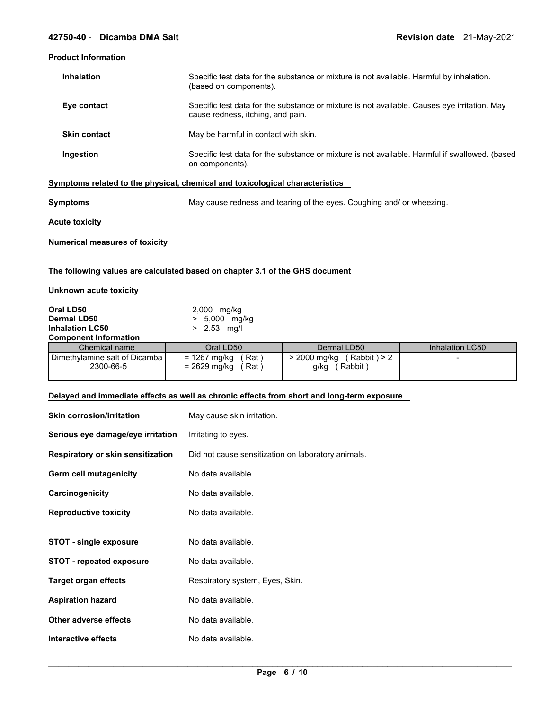## **Product Information**

| <b>Inhalation</b>   | Specific test data for the substance or mixture is not available. Harmful by inhalation.<br>(based on components).                |
|---------------------|-----------------------------------------------------------------------------------------------------------------------------------|
| Eye contact         | Specific test data for the substance or mixture is not available. Causes eye irritation. May<br>cause redness, itching, and pain. |
| <b>Skin contact</b> | May be harmful in contact with skin.                                                                                              |
| Ingestion           | Specific test data for the substance or mixture is not available. Harmful if swallowed. (based<br>on components).                 |

\_\_\_\_\_\_\_\_\_\_\_\_\_\_\_\_\_\_\_\_\_\_\_\_\_\_\_\_\_\_\_\_\_\_\_\_\_\_\_\_\_\_\_\_\_\_\_\_\_\_\_\_\_\_\_\_\_\_\_\_\_\_\_\_\_\_\_\_\_\_\_\_\_\_\_\_\_\_\_\_\_\_\_\_\_\_\_\_\_\_\_\_\_

**Symptoms related to the physical, chemical and toxicological characteristics** 

| Symptoms | May cause redness and tearing of the eyes. Coughing and/ or wheezing. |  |
|----------|-----------------------------------------------------------------------|--|
|          |                                                                       |  |

**Acute toxicity** 

**Numerical measures of toxicity**

**The following values are calculated based on chapter 3.1 of the GHS document** 

## **Unknown acute toxicity**

| Oral LD50                                    | 2,000 mg/kg                                   |                                                 |                 |  |
|----------------------------------------------|-----------------------------------------------|-------------------------------------------------|-----------------|--|
| <b>Dermal LD50</b>                           | 5,000 mg/kg                                   |                                                 |                 |  |
| <b>Inhalation LC50</b>                       | $> 2.53$ mg/l                                 |                                                 |                 |  |
| <b>Component Information</b>                 |                                               |                                                 |                 |  |
| Chemical name                                | Oral LD50                                     | Dermal LD50                                     | Inhalation LC50 |  |
| Dimethylamine salt of Dicamba  <br>2300-66-5 | = 1267 mg/kg<br>Rat)<br>= 2629 mg/kg<br>Rat ) | (Rabbit) > 2<br>> 2000 mg/kg<br>Rabbit)<br>g/kg |                 |  |

## **Delayed and immediate effects as well as chronic effects from short and long-term exposure**

| <b>Skin corrosion/irritation</b>  | May cause skin irritation.                         |
|-----------------------------------|----------------------------------------------------|
| Serious eye damage/eye irritation | Irritating to eyes.                                |
| Respiratory or skin sensitization | Did not cause sensitization on laboratory animals. |
| Germ cell mutagenicity            | No data available.                                 |
| Carcinogenicity                   | No data available.                                 |
| <b>Reproductive toxicity</b>      | No data available.                                 |
|                                   |                                                    |
| <b>STOT - single exposure</b>     | No data available.                                 |
| <b>STOT - repeated exposure</b>   | No data available.                                 |
| <b>Target organ effects</b>       | Respiratory system, Eyes, Skin.                    |
| <b>Aspiration hazard</b>          | No data available.                                 |
| Other adverse effects             | No data available.                                 |
| Interactive effects               | No data available.                                 |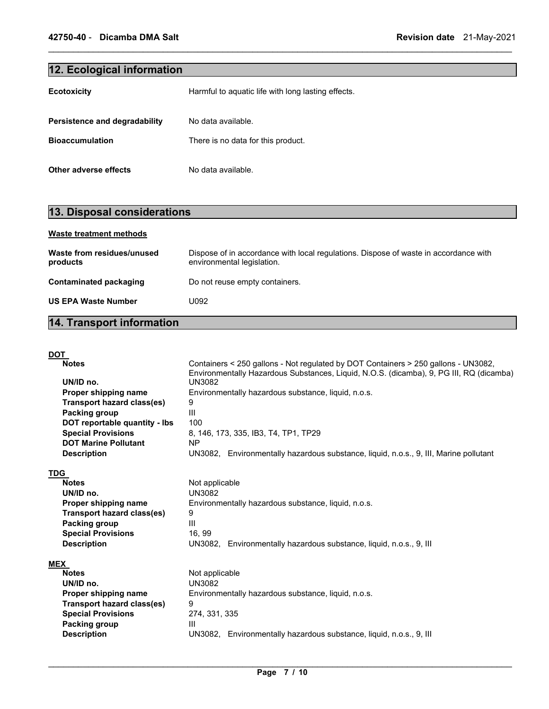## **12. Ecological information**

| <b>Ecotoxicity</b>            | Harmful to aquatic life with long lasting effects. |
|-------------------------------|----------------------------------------------------|
| Persistence and degradability | No data available.                                 |
| <b>Bioaccumulation</b>        | There is no data for this product.                 |
| Other adverse effects         | No data available.                                 |

## **13. Disposal considerations**

| <b>Waste treatment methods</b>         |                                                                                                                    |
|----------------------------------------|--------------------------------------------------------------------------------------------------------------------|
| Waste from residues/unused<br>products | Dispose of in accordance with local regulations. Dispose of waste in accordance with<br>environmental legislation. |
| Contaminated packaging                 | Do not reuse empty containers.                                                                                     |
| <b>US EPA Waste Number</b>             | U092                                                                                                               |
|                                        |                                                                                                                    |

\_\_\_\_\_\_\_\_\_\_\_\_\_\_\_\_\_\_\_\_\_\_\_\_\_\_\_\_\_\_\_\_\_\_\_\_\_\_\_\_\_\_\_\_\_\_\_\_\_\_\_\_\_\_\_\_\_\_\_\_\_\_\_\_\_\_\_\_\_\_\_\_\_\_\_\_\_\_\_\_\_\_\_\_\_\_\_\_\_\_\_\_\_

## **14. Transport information**

| <b>DOT</b>                        |                                                                                         |
|-----------------------------------|-----------------------------------------------------------------------------------------|
| <b>Notes</b>                      | Containers < 250 gallons - Not regulated by DOT Containers > 250 gallons - UN3082,      |
|                                   | Environmentally Hazardous Substances, Liquid, N.O.S. (dicamba), 9, PG III, RQ (dicamba) |
| UN/ID no.                         | <b>UN3082</b>                                                                           |
| Proper shipping name              | Environmentally hazardous substance, liquid, n.o.s.                                     |
| Transport hazard class(es)        | 9                                                                                       |
| Packing group                     | Ш                                                                                       |
| DOT reportable quantity - lbs     | 100                                                                                     |
| <b>Special Provisions</b>         | 8, 146, 173, 335, IB3, T4, TP1, TP29                                                    |
| <b>DOT Marine Pollutant</b>       | <b>NP</b>                                                                               |
| <b>Description</b>                | UN3082, Environmentally hazardous substance, liquid, n.o.s., 9, III, Marine pollutant   |
|                                   |                                                                                         |
| <b>TDG</b>                        |                                                                                         |
| <b>Notes</b>                      | Not applicable                                                                          |
| UN/ID no.                         | <b>UN3082</b>                                                                           |
| Proper shipping name              | Environmentally hazardous substance, liquid, n.o.s.                                     |
| Transport hazard class(es)        | 9                                                                                       |
| Packing group                     | $\mathbf{III}$                                                                          |
| <b>Special Provisions</b>         | 16, 99                                                                                  |
| <b>Description</b>                | UN3082, Environmentally hazardous substance, liquid, n.o.s., 9, III                     |
|                                   |                                                                                         |
| <b>MEX</b><br><b>Notes</b>        | Not applicable                                                                          |
| UN/ID no.                         | <b>UN3082</b>                                                                           |
|                                   |                                                                                         |
| Proper shipping name              | Environmentally hazardous substance, liquid, n.o.s.                                     |
| <b>Transport hazard class(es)</b> | 9                                                                                       |
| <b>Special Provisions</b>         | 274, 331, 335                                                                           |
| Packing group                     | $\mathbf{III}$                                                                          |
| <b>Description</b>                | UN3082, Environmentally hazardous substance, liquid, n.o.s., 9, III                     |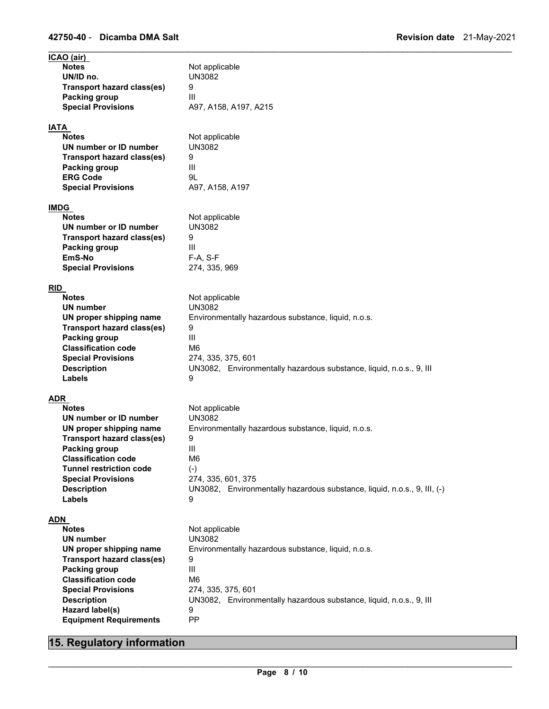| ICAO (air)                                         |                                                                          |
|----------------------------------------------------|--------------------------------------------------------------------------|
| <b>Notes</b>                                       | Not applicable                                                           |
| UN/ID no.                                          | <b>UN3082</b>                                                            |
| <b>Transport hazard class(es)</b>                  | 9                                                                        |
| Packing group                                      | Ш                                                                        |
| <b>Special Provisions</b>                          | A97, A158, A197, A215                                                    |
| <b>IATA</b>                                        |                                                                          |
| <b>Notes</b>                                       | Not applicable                                                           |
| UN number or ID number                             | <b>UN3082</b>                                                            |
| <b>Transport hazard class(es)</b>                  | 9                                                                        |
| <b>Packing group</b>                               | Ш                                                                        |
| <b>ERG Code</b>                                    | 9L                                                                       |
| <b>Special Provisions</b>                          | A97, A158, A197                                                          |
|                                                    |                                                                          |
| <b>IMDG</b>                                        |                                                                          |
| <b>Notes</b><br>UN number or ID number             | Not applicable                                                           |
|                                                    | <b>UN3082</b>                                                            |
| Transport hazard class(es)<br><b>Packing group</b> | 9<br>Ш                                                                   |
| EmS-No                                             | F-A, S-F                                                                 |
| <b>Special Provisions</b>                          | 274, 335, 969                                                            |
|                                                    |                                                                          |
| <b>RID</b>                                         |                                                                          |
| <b>Notes</b>                                       | Not applicable                                                           |
| <b>UN number</b>                                   | <b>UN3082</b>                                                            |
| UN proper shipping name                            | Environmentally hazardous substance, liquid, n.o.s.                      |
| <b>Transport hazard class(es)</b>                  | 9                                                                        |
| Packing group                                      | Ш                                                                        |
| <b>Classification code</b>                         | M6                                                                       |
| <b>Special Provisions</b>                          | 274, 335, 375, 601                                                       |
| <b>Description</b>                                 | UN3082, Environmentally hazardous substance, liquid, n.o.s., 9, III      |
| Labels                                             | 9                                                                        |
| ADR                                                |                                                                          |
| <b>Notes</b>                                       | Not applicable                                                           |
| UN number or ID number                             | <b>UN3082</b>                                                            |
| UN proper shipping name                            | Environmentally hazardous substance, liquid, n.o.s.                      |
| Transport hazard class(es)                         | 9                                                                        |
| <b>Packing group</b>                               | Ш                                                                        |
| <b>Classification code</b>                         | M6                                                                       |
| <b>Tunnel restriction code</b>                     | $(\text{-})$                                                             |
| <b>Special Provisions</b>                          | 274, 335, 601, 375                                                       |
| <b>Description</b>                                 | UN3082, Environmentally hazardous substance, liquid, n.o.s., 9, III, (-) |
| Labels                                             | 9                                                                        |
| <u>ADN</u>                                         |                                                                          |
| <b>Notes</b>                                       | Not applicable                                                           |
| <b>UN</b> number                                   | <b>UN3082</b>                                                            |
| UN proper shipping name                            | Environmentally hazardous substance, liquid, n.o.s.                      |
| <b>Transport hazard class(es)</b>                  | 9                                                                        |
| Packing group                                      | III                                                                      |
| <b>Classification code</b>                         | M <sub>6</sub>                                                           |
| <b>Special Provisions</b>                          | 274, 335, 375, 601                                                       |
| <b>Description</b>                                 | UN3082, Environmentally hazardous substance, liquid, n.o.s., 9, III      |
| Hazard label(s)                                    | 9                                                                        |
| <b>Equipment Requirements</b>                      | PP                                                                       |

## **15. Regulatory information**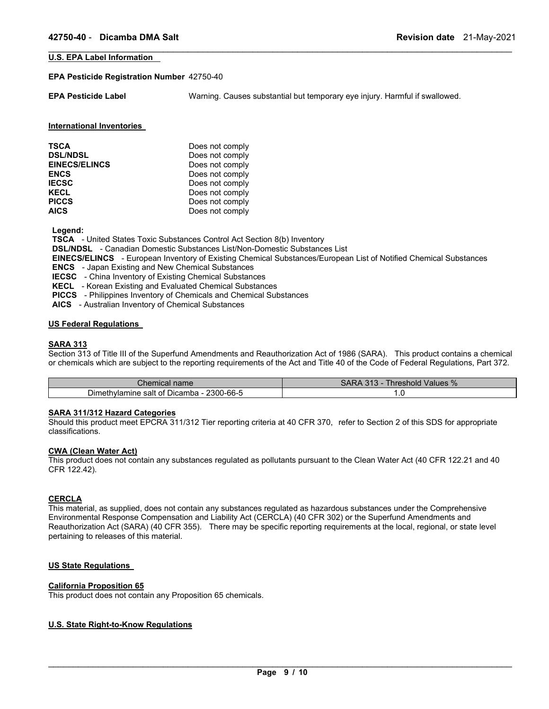#### **U.S. EPA Label Information**

#### **EPA Pesticide Registration Number** 42750-40

**EPA Pesticide Label** Warning. Causes substantial but temporary eye injury. Harmful if swallowed.

\_\_\_\_\_\_\_\_\_\_\_\_\_\_\_\_\_\_\_\_\_\_\_\_\_\_\_\_\_\_\_\_\_\_\_\_\_\_\_\_\_\_\_\_\_\_\_\_\_\_\_\_\_\_\_\_\_\_\_\_\_\_\_\_\_\_\_\_\_\_\_\_\_\_\_\_\_\_\_\_\_\_\_\_\_\_\_\_\_\_\_\_\_

#### **International Inventories**

| Does not comply |
|-----------------|
| Does not comply |
| Does not comply |
| Does not comply |
| Does not comply |
| Does not comply |
| Does not comply |
| Does not comply |
|                 |

**Legend:** 

**TSCA** - United States Toxic Substances Control Act Section 8(b) Inventory

**DSL/NDSL** - Canadian Domestic Substances List/Non-Domestic Substances List

**EINECS/ELINCS** - European Inventory of Existing Chemical Substances/European List of Notified Chemical Substances

**ENCS** - Japan Existing and New Chemical Substances

**IECSC** - China Inventory of Existing Chemical Substances

**KECL** - Korean Existing and Evaluated Chemical Substances

**PICCS** - Philippines Inventory of Chemicals and Chemical Substances

**AICS** - Australian Inventory of Chemical Substances

#### **US Federal Regulations**

#### **SARA 313**

Section 313 of Title III of the Superfund Amendments and Reauthorization Act of 1986 (SARA). This product contains a chemical or chemicals which are subject to the reporting requirements of the Act and Title 40 of the Code of Federal Regulations, Part 372.

| Chemical name                                            | Values %<br>$\Lambda$ $\Gamma$ $\Lambda$<br><b>Inreshold</b><br><u>UIU</u> |  |
|----------------------------------------------------------|----------------------------------------------------------------------------|--|
| .<br>2300-66-5<br>Dimethylamine salt o<br>. of Dicamba - | ٥                                                                          |  |

## **SARA 311/312 Hazard Categories**

Should this product meet EPCRA 311/312 Tier reporting criteria at 40 CFR 370, refer to Section 2 of this SDS for appropriate classifications.

#### **CWA (Clean Water Act)**

This product does not contain any substances regulated as pollutants pursuant to the Clean Water Act (40 CFR 122.21 and 40 CFR 122.42).

#### **CERCLA**

This material, as supplied, does not contain any substances regulated as hazardous substances under the Comprehensive Environmental Response Compensation and Liability Act (CERCLA) (40 CFR 302) or the Superfund Amendments and Reauthorization Act (SARA) (40 CFR 355). There may be specific reporting requirements at the local, regional, or state level pertaining to releases of this material.

## **US State Regulations**

## **California Proposition 65**

This product does not contain any Proposition 65 chemicals.

## **U.S. State Right-to-Know Regulations**